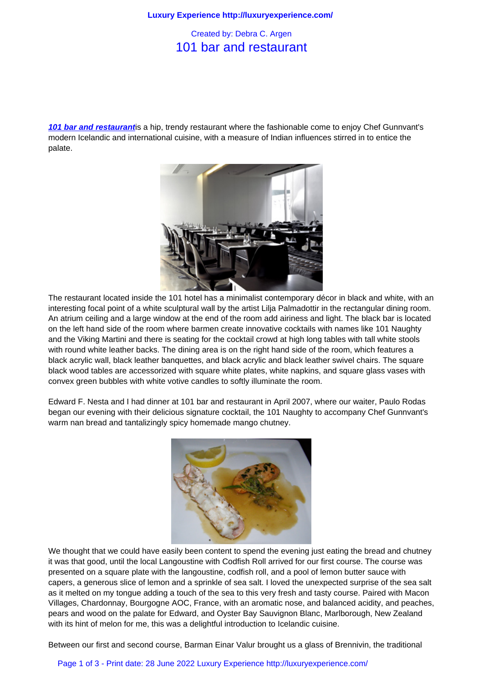## 101 bar and restaurant

**101 bar and restaurant**is a hip, trendy restaurant where the fashionable come to enjoy Chef Gunnvant's modern Icelandic and international cuisine, with a measure of Indian influences stirred in to entice the palate.



The restaurant located inside the 101 hotel has a minimalist contemporary décor in black and white, with an interesting focal point of a white sculptural wall by the artist Lilja Palmadottir in the rectangular dining room. An atrium ceiling and a large window at the end of the room add airiness and light. The black bar is located on the left hand side of the room where barmen create innovative cocktails with names like 101 Naughty and the Viking Martini and there is seating for the cocktail crowd at high long tables with tall white stools with round white leather backs. The dining area is on the right hand side of the room, which features a black acrylic wall, black leather banquettes, and black acrylic and black leather swivel chairs. The square black wood tables are accessorized with square white plates, white napkins, and square glass vases with convex green bubbles with white votive candles to softly illuminate the room.

Edward F. Nesta and I had dinner at 101 bar and restaurant in April 2007, where our waiter, Paulo Rodas began our evening with their delicious signature cocktail, the 101 Naughty to accompany Chef Gunnvant's warm nan bread and tantalizingly spicy homemade mango chutney.



We thought that we could have easily been content to spend the evening just eating the bread and chutney it was that good, until the local Langoustine with Codfish Roll arrived for our first course. The course was presented on a square plate with the langoustine, codfish roll, and a pool of lemon butter sauce with capers, a generous slice of lemon and a sprinkle of sea salt. I loved the unexpected surprise of the sea salt as it melted on my tongue adding a touch of the sea to this very fresh and tasty course. Paired with Macon Villages, Chardonnay, Bourgogne AOC, France, with an aromatic nose, and balanced acidity, and peaches, pears and wood on the palate for Edward, and Oyster Bay Sauvignon Blanc, Marlborough, New Zealand with its hint of melon for me, this was a delightful introduction to Icelandic cuisine.

Between our first and second course, Barman Einar Valur brought us a glass of Brennivin, the traditional

Page 1 of 3 - Print date: 28 June 2022 Luxury Experience http://luxuryexperience.com/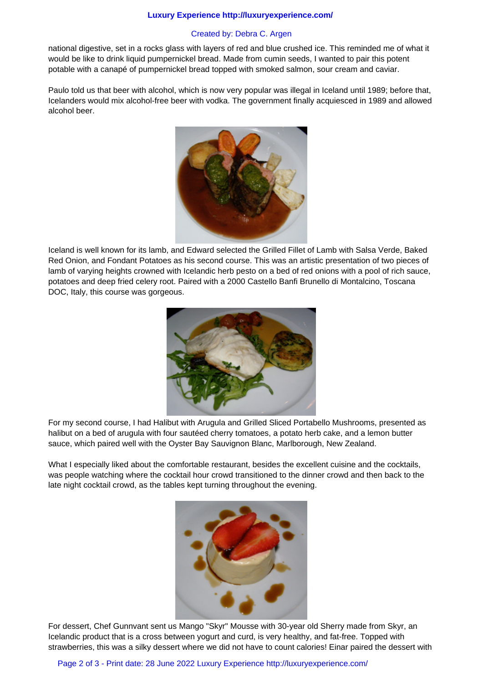## **Luxury Experience http://luxuryexperience.com/**

## Created by: Debra C. Argen

national digestive, set in a rocks glass with layers of red and blue crushed ice. This reminded me of what it would be like to drink liquid pumpernickel bread. Made from cumin seeds, I wanted to pair this potent potable with a canapé of pumpernickel bread topped with smoked salmon, sour cream and caviar.

Paulo told us that beer with alcohol, which is now very popular was illegal in Iceland until 1989; before that, Icelanders would mix alcohol-free beer with vodka. The government finally acquiesced in 1989 and allowed alcohol beer.



Iceland is well known for its lamb, and Edward selected the Grilled Fillet of Lamb with Salsa Verde, Baked Red Onion, and Fondant Potatoes as his second course. This was an artistic presentation of two pieces of lamb of varying heights crowned with Icelandic herb pesto on a bed of red onions with a pool of rich sauce, potatoes and deep fried celery root. Paired with a 2000 Castello Banfi Brunello di Montalcino, Toscana DOC, Italy, this course was gorgeous.



For my second course, I had Halibut with Arugula and Grilled Sliced Portabello Mushrooms, presented as halibut on a bed of arugula with four sautéed cherry tomatoes, a potato herb cake, and a lemon butter sauce, which paired well with the Oyster Bay Sauvignon Blanc, Marlborough, New Zealand.

What I especially liked about the comfortable restaurant, besides the excellent cuisine and the cocktails, was people watching where the cocktail hour crowd transitioned to the dinner crowd and then back to the late night cocktail crowd, as the tables kept turning throughout the evening.



For dessert, Chef Gunnvant sent us Mango "Skyr" Mousse with 30-year old Sherry made from Skyr, an Icelandic product that is a cross between yogurt and curd, is very healthy, and fat-free. Topped with strawberries, this was a silky dessert where we did not have to count calories! Einar paired the dessert with

Page 2 of 3 - Print date: 28 June 2022 Luxury Experience http://luxuryexperience.com/